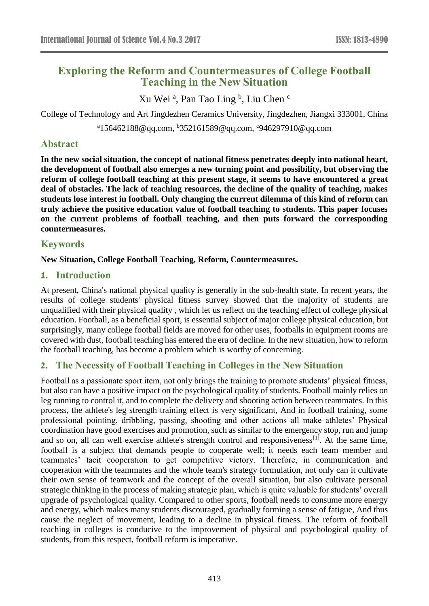# **Exploring the Reform and Countermeasures of College Football Teaching in the New Situation**

Xu Wei<sup>a</sup>, Pan Tao Ling<sup>b</sup>, Liu Chen<sup>c</sup>

College of Technology and Art Jingdezhen Ceramics University, Jingdezhen, Jiangxi 333001, China

<sup>a</sup>156462188@qq.com, <sup>b</sup>352161589@qq.com, <sup>c</sup>946297910@qq.com

### **Abstract**

**In the new social situation, the concept of national fitness penetrates deeply into national heart, the development of football also emerges a new turning point and possibility, but observing the reform of college football teaching at this present stage, it seems to have encountered a great deal of obstacles. The lack of teaching resources, the decline of the quality of teaching, makes students lose interest in football. Only changing the current dilemma of this kind of reform can truly achieve the positive education value of football teaching to students. This paper focuses on the current problems of football teaching, and then puts forward the corresponding countermeasures.**

# **Keywords**

#### **New Situation, College Football Teaching, Reform, Countermeasures.**

### **1. Introduction**

At present, China's national physical quality is generally in the sub-health state. In recent years, the results of college students' physical fitness survey showed that the majority of students are unqualified with their physical quality , which let us reflect on the teaching effect of college physical education. Football, as a beneficial sport, is essential subject of major college physical education, but surprisingly, many college football fields are moved for other uses, footballs in equipment rooms are covered with dust, football teaching has entered the era of decline. In the new situation, how to reform the football teaching, has become a problem which is worthy of concerning.

# **2. The Necessity of Football Teaching in Colleges in the New Situation**

Football as a passionate sport item, not only brings the training to promote students' physical fitness, but also can have a positive impact on the psychological quality of students. Football mainly relies on leg running to control it, and to complete the delivery and shooting action between teammates. In this process, the athlete's leg strength training effect is very significant, And in football training, some professional [pointi](../../../Program%20Files/Dict/7.0.1.0214/resultui/dict/javascript:;)ng, dribbling, passing, shooting and other actions all make athletes' Physical coordination have good exercises and promotion, such as similar to the emergency stop, run and jump and so on, all can well exercise athlete's strength control and responsiveness<sup>[1]</sup>. At the same time, football is a subject that demands people to cooperate well; it needs each team member and teammates' tacit cooperation to get competitive victory. Therefore, in communication and cooperation with the teammates and the whole team's strategy formulation, not only can it cultivate their own sense of teamwork and the concept of the overall situation, but also cultivate personal strategic thinking in the process of making strategic plan, which is quite valuable for students' overall upgrade of psychological quality. Compared to other sports, football needs to consume more energy and energy, which makes many students discouraged, gradually forming a sense of fatigue, And thus cause the neglect of movement, leading to a decline in physical fitness. The reform of football teaching in colleges is conducive to the improvement of physical and psychological quality of students, from this respect, football reform is imperative.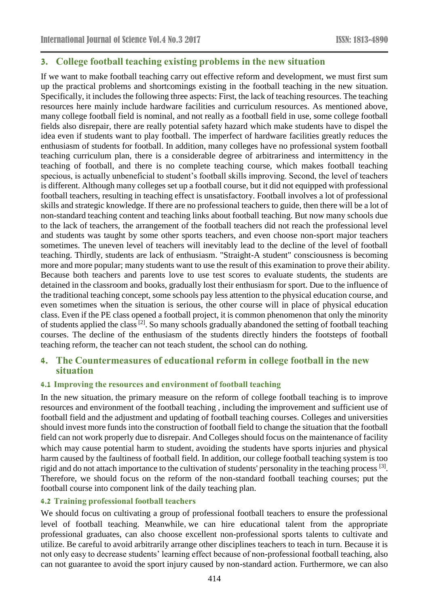### **3. College football teaching existing problems in the new situation**

If we want to make football teaching carry out effective reform and development, we must first sum up the practical problems and shortcomings existing in the football teaching in the new situation. Specifically, it includes the following three aspects: First, the lack of teaching resources. The teaching resources here mainly include hardware facilities and curriculum resources. As mentioned above, many college football field is [nominal,](../../../Program%20Files/Dict/7.0.1.0214/resultui/dict/javascript:;) and not really as a football field in use, some college football fields also disrepair, there are really potential safety hazard which make students have to dispel the idea even if students want to play football. The imperfect of hardware facilities greatly reduces the enthusiasm of students for football. In addition, many colleges have no professional system football teaching curriculum plan, there is a considerable degree of arbitrariness and intermittency in the teaching of football, and there is no complete teaching course, which makes football teaching specious, is actually unbeneficial to student's football skills improving. Second, the level of teachers is different. Although many colleges set up a football course, but it did not equipped with professional football teachers, resulting in teaching effect is unsatisfactory. Football involves a lot of professional skills and strategic knowledge. If there are no professional teachers to guide, then there will be a lot of non-standard teaching content and teaching links about football teaching. But now many schools due to the lack of teachers, the arrangement of the football teachers did not reach the professional level and students was taught by some other sports teachers, and even choose non-sport major teachers sometimes. The uneven level of teachers will inevitably lead to the decline of the level of football teaching. Thirdly, students are lack of enthusiasm. "Straight-A student" consciousness is becoming more and more popular; many students want to use the result of this examination to prove their ability. Because both teachers and parents love to use test scores to evaluate students, the students are detained in the classroom and books, gradually lost their enthusiasm for sport. Due to the influence of the traditional teaching concept, some schools pay less attention to the physical education course, and even sometimes when the situation is serious, the other course will in place of physical education class. Even if the PE class opened a football project, it is common phenomenon that only the minority of students applied the class[2]. So many schools gradually abandoned the setting of football teaching courses. The decline of the enthusiasm of the students directly hinders the footsteps of football teaching reform, the teacher can not teach student, the school can do nothing.

### **4. The Countermeasures of educational reform in college football in the new situation**

#### **4.1 Improving the resources and environment of football teaching**

In the new situation, the primary measure on the reform of college football teaching is to improve resources and environment of the football teaching , including the improvement and sufficient use of football field and the adjustment and updating of football teaching courses. Colleges and universities should invest more funds into the construction of football field to change the situation that the football field can not work properly due to disrepair. And Colleges should focus on the maintenance of facility which may cause potential harm to student, avoiding the students have sports injuries and physical harm caused by the faultiness of football field. In addition, our college football teaching system is too rigid and do not attach importance to the cultivation of students' personality in the teaching process [3]. Therefore, we should focus on the reform of the non-standard football teaching courses; put the football course into component link of the daily teaching plan.

#### **4.2 Training professional football teachers**

We should focus on cultivating a group of professional football teachers to ensure the professional level of football teaching. Meanwhile,we can hire educational talent from the appropriate professional graduates, can also choose excellent non-professional sports talents to cultivate and utilize. Be careful to avoid arbitrarily arrange other disciplines teachers to teach in turn. Because it is not only easy to decrease students' learning effect because of non-professional football teaching, also can not guarantee to avoid the sport injury caused by non-standard action. Furthermore, we can also